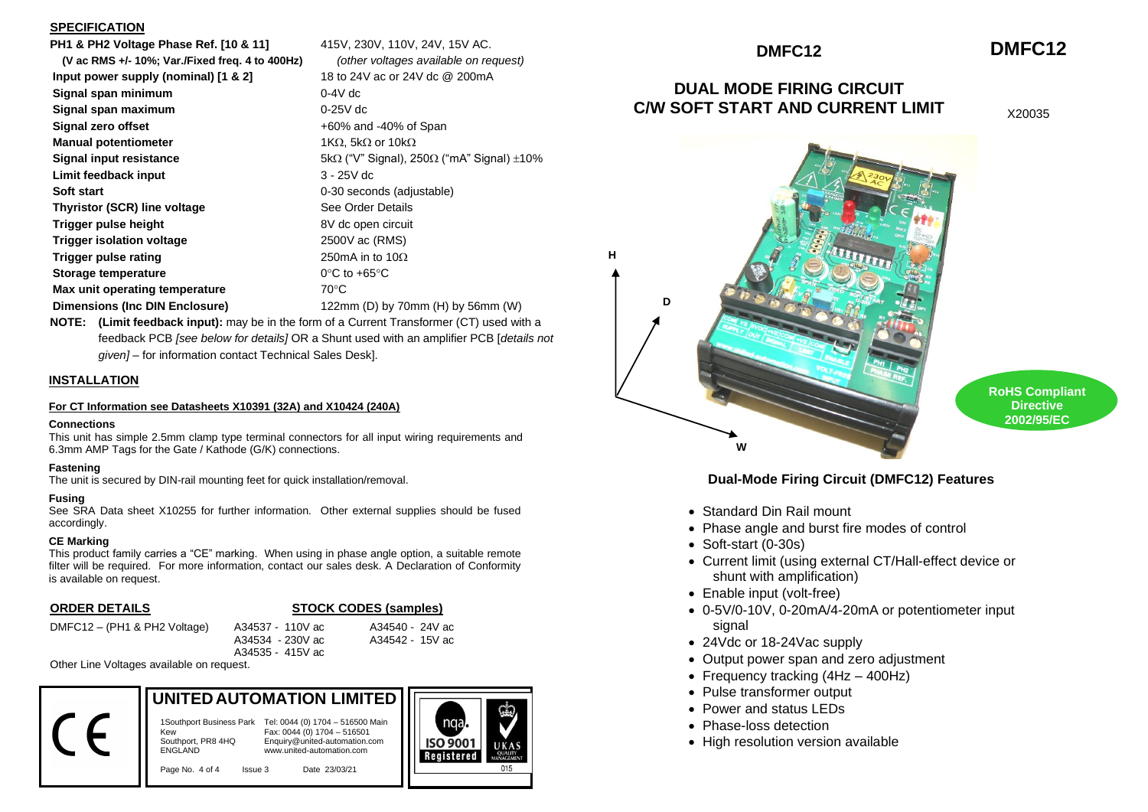#### **SPECIFICATION**

| PH1 & PH2 Voltage Phase Ref. [10 & 11]          | 415V, 230V, 110V, 24V, 15V AC.                                 |
|-------------------------------------------------|----------------------------------------------------------------|
| (V ac RMS +/- 10%; Var./Fixed freq. 4 to 400Hz) | (other voltages available on request)                          |
| Input power supply (nominal) [1 & 2]            | 18 to 24V ac or 24V dc @ 200mA                                 |
| Signal span minimum                             | $0-4V$ dc                                                      |
| Signal span maximum                             | $0-25V$ dc                                                     |
| Signal zero offset                              | +60% and -40% of Span                                          |
| <b>Manual potentiometer</b>                     | 1ΚΩ, 5kΩ or 10kΩ                                               |
| Signal input resistance                         | 5k $\Omega$ ("V" Signal), 250 $\Omega$ ("mA" Signal) $\pm$ 10% |
| Limit feedback input                            | $3 - 25V$ dc                                                   |
| Soft start                                      | 0-30 seconds (adjustable)                                      |
| Thyristor (SCR) line voltage                    | See Order Details                                              |
| Trigger pulse height                            | 8V dc open circuit                                             |
| <b>Trigger isolation voltage</b>                | 2500V ac (RMS)                                                 |
| <b>Trigger pulse rating</b>                     | 250mA in to 10 $\Omega$                                        |
| Storage temperature                             | $0^{\circ}$ C to +65 $^{\circ}$ C                              |
| Max unit operating temperature                  | $70^{\circ}$ C                                                 |
| <b>Dimensions (Inc DIN Enclosure)</b>           | 122mm (D) by 70mm (H) by 56mm (W)                              |

**NOTE: (Limit feedback input):** may be in the form of a Current Transformer (CT) used with a feedback PCB *[see below for details]* OR a Shunt used with an amplifier PCB [*details not given]* – for information contact Technical Sales Desk].

#### **INSTALLATION**

#### **For CT Information see Datasheets X10391 (32A) and X10424 (240A)**

#### **Connections**

This unit has simple 2.5mm clamp type terminal connectors for all input wiring requirements and 6.3mm AMP Tags for the Gate / Kathode (G/K) connections.

#### **Fastening**

The unit is secured by DIN-rail mounting feet for quick installation/removal.

#### **Fusing**

See SRA Data sheet X10255 for further information. Other external supplies should be fused accordingly.

#### **CE Marking**

This product family carries a "CE" marking. When using in phase angle option, a suitable remote filter will be required. For more information, contact our sales desk. A Declaration of Conformity is available on request.

### **ORDER DETAILS STOCK CODES (samples)**

DMFC12 – (PH1 & PH2 Voltage) A34537 - 110V ac A34540 - 24V ac

A34534 - 230V ac A34542 - 15V ac A34535 - 415V ac

Other Line Voltages available on request.

# **UNITEDAUTOMATION LIMITED**

1Southport Business Park Tel: 0044 (0) 1704 – 516500 Main Kew Fax: 0044 (0) 1704 – 516501<br>Southport, PR8 4HQ Enquiry@united-automation.c Southport, PR8 4HQ Enquiry@united-automation.com ENGLAND www.united-automation.com

Page No. 4 of 4 Issue 3 Date 23/03/21



### **DMFC12**

### **DUAL MODE FIRING CIRCUIT C/W SOFT START AND CURRENT LIMIT**

X20035

**DMFC12**



**RoHS Compliant Directive 2002/95/EC**

### **Dual-Mode Firing Circuit (DMFC12) Features**

- Standard Din Rail mount
- Phase angle and burst fire modes of control
- Soft-start (0-30s)
- Current limit (using external CT/Hall-effect device or shunt with amplification)
- Enable input (volt-free)
- 0-5V/0-10V, 0-20mA/4-20mA or potentiometer input signal
- 24Vdc or 18-24Vac supply
- Output power span and zero adjustment
- Frequency tracking (4Hz 400Hz)
- Pulse transformer output
- Power and status LEDs
- Phase-loss detection
- High resolution version available